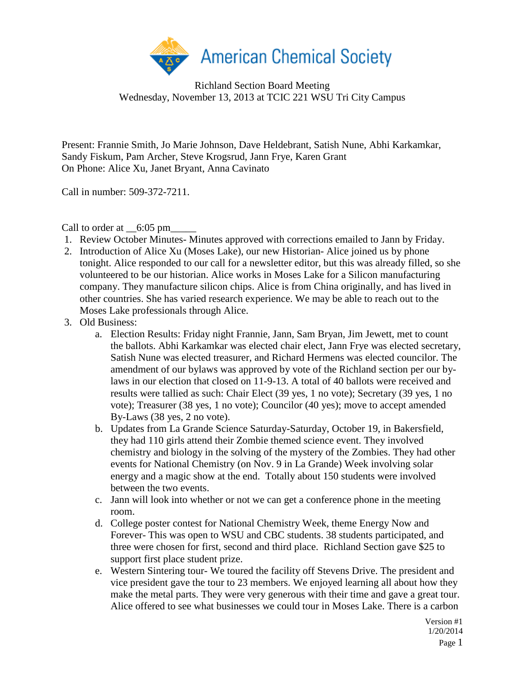

Richland Section Board Meeting Wednesday, November 13, 2013 at TCIC 221 WSU Tri City Campus

Present: Frannie Smith, Jo Marie Johnson, Dave Heldebrant, Satish Nune, Abhi Karkamkar, Sandy Fiskum, Pam Archer, Steve Krogsrud, Jann Frye, Karen Grant On Phone: Alice Xu, Janet Bryant, Anna Cavinato

Call in number: 509-372-7211.

Call to order at  $\qquad 6:05 \text{ pm}$ 

- 1. Review October Minutes- Minutes approved with corrections emailed to Jann by Friday.
- 2. Introduction of Alice Xu (Moses Lake), our new Historian- Alice joined us by phone tonight. Alice responded to our call for a newsletter editor, but this was already filled, so she volunteered to be our historian. Alice works in Moses Lake for a Silicon manufacturing company. They manufacture silicon chips. Alice is from China originally, and has lived in other countries. She has varied research experience. We may be able to reach out to the Moses Lake professionals through Alice.
- 3. Old Business:
	- a. Election Results: Friday night Frannie, Jann, Sam Bryan, Jim Jewett, met to count the ballots. Abhi Karkamkar was elected chair elect, Jann Frye was elected secretary, Satish Nune was elected treasurer, and Richard Hermens was elected councilor. The amendment of our bylaws was approved by vote of the Richland section per our bylaws in our election that closed on 11-9-13. A total of 40 ballots were received and results were tallied as such: Chair Elect (39 yes, 1 no vote); Secretary (39 yes, 1 no vote); Treasurer (38 yes, 1 no vote); Councilor (40 yes); move to accept amended By-Laws (38 yes, 2 no vote).
	- b. Updates from La Grande Science Saturday-Saturday, October 19, in Bakersfield, they had 110 girls attend their Zombie themed science event. They involved chemistry and biology in the solving of the mystery of the Zombies. They had other events for National Chemistry (on Nov. 9 in La Grande) Week involving solar energy and a magic show at the end. Totally about 150 students were involved between the two events.
	- c. Jann will look into whether or not we can get a conference phone in the meeting room.
	- d. College poster contest for National Chemistry Week, theme Energy Now and Forever- This was open to WSU and CBC students. 38 students participated, and three were chosen for first, second and third place. Richland Section gave \$25 to support first place student prize.
	- e. Western Sintering tour- We toured the facility off Stevens Drive. The president and vice president gave the tour to 23 members. We enjoyed learning all about how they make the metal parts. They were very generous with their time and gave a great tour. Alice offered to see what businesses we could tour in Moses Lake. There is a carbon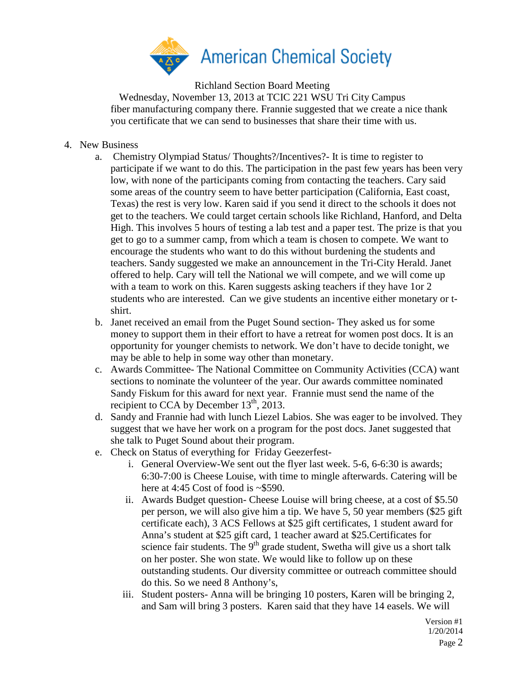

Richland Section Board Meeting

Wednesday, November 13, 2013 at TCIC 221 WSU Tri City Campus fiber manufacturing company there. Frannie suggested that we create a nice thank you certificate that we can send to businesses that share their time with us.

- 4. New Business
	- a. Chemistry Olympiad Status/ Thoughts?/Incentives?- It is time to register to participate if we want to do this. The participation in the past few years has been very low, with none of the participants coming from contacting the teachers. Cary said some areas of the country seem to have better participation (California, East coast, Texas) the rest is very low. Karen said if you send it direct to the schools it does not get to the teachers. We could target certain schools like Richland, Hanford, and Delta High. This involves 5 hours of testing a lab test and a paper test. The prize is that you get to go to a summer camp, from which a team is chosen to compete. We want to encourage the students who want to do this without burdening the students and teachers. Sandy suggested we make an announcement in the Tri-City Herald. Janet offered to help. Cary will tell the National we will compete, and we will come up with a team to work on this. Karen suggests asking teachers if they have 1 or 2 students who are interested. Can we give students an incentive either monetary or tshirt.
	- b. Janet received an email from the Puget Sound section- They asked us for some money to support them in their effort to have a retreat for women post docs. It is an opportunity for younger chemists to network. We don't have to decide tonight, we may be able to help in some way other than monetary.
	- c. Awards Committee- The National Committee on Community Activities (CCA) want sections to nominate the volunteer of the year. Our awards committee nominated Sandy Fiskum for this award for next year. Frannie must send the name of the recipient to CCA by December  $13<sup>th</sup>$ , 2013.
	- d. Sandy and Frannie had with lunch Liezel Labios. She was eager to be involved. They suggest that we have her work on a program for the post docs. Janet suggested that she talk to Puget Sound about their program.
	- e. Check on Status of everything for Friday Geezerfest
		- i. General Overview-We sent out the flyer last week. 5-6, 6-6:30 is awards; 6:30-7:00 is Cheese Louise, with time to mingle afterwards. Catering will be here at 4:45 Cost of food is  $\sim$ \$590.
		- ii. Awards Budget question- Cheese Louise will bring cheese, at a cost of \$5.50 per person, we will also give him a tip. We have 5, 50 year members (\$25 gift certificate each), 3 ACS Fellows at \$25 gift certificates, 1 student award for Anna's student at \$25 gift card, 1 teacher award at \$25.Certificates for science fair students. The  $9<sup>th</sup>$  grade student, Swetha will give us a short talk on her poster. She won state. We would like to follow up on these outstanding students. Our diversity committee or outreach committee should do this. So we need 8 Anthony's,
		- iii. Student posters- Anna will be bringing 10 posters, Karen will be bringing 2, and Sam will bring 3 posters. Karen said that they have 14 easels. We will